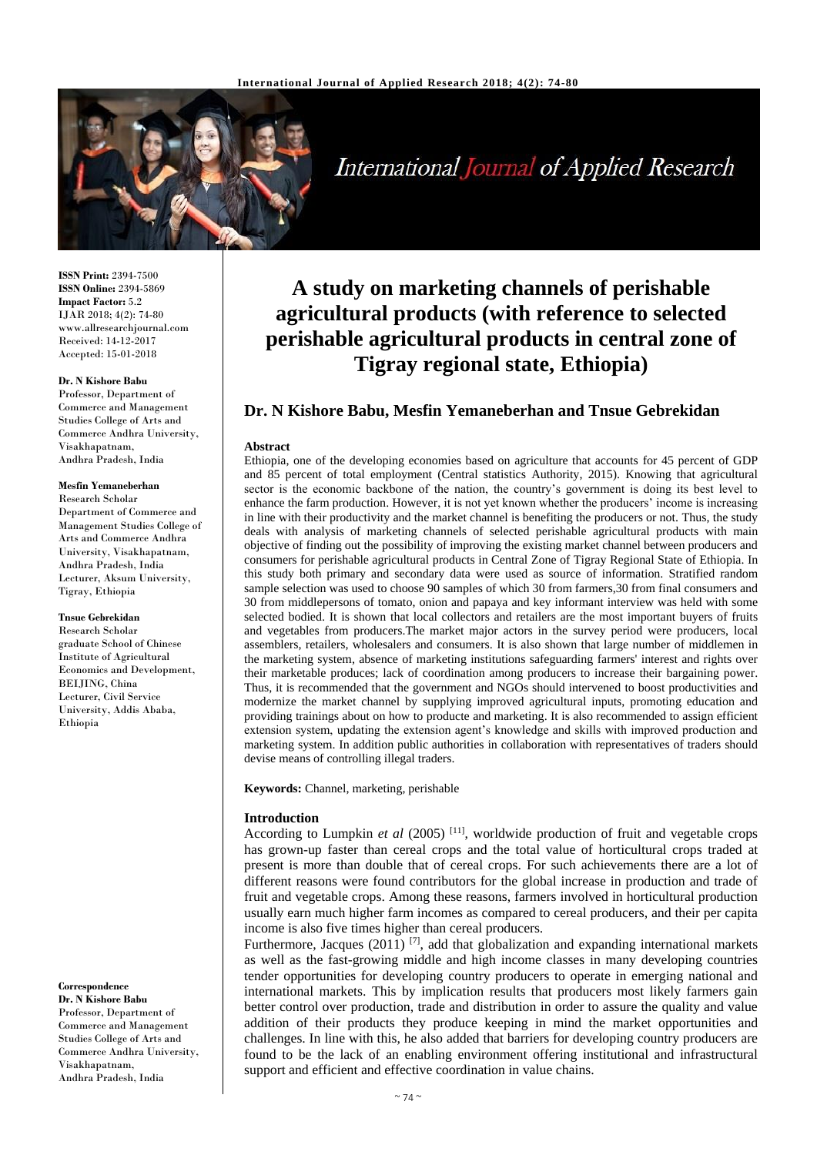

International Journal of Applied Research

**ISSN Print:** 2394-7500 **ISSN Online:** 2394-5869 **Impact Factor:** 5.2 IJAR 2018; 4(2): 74-80 www.allresearchjournal.com Received: 14-12-2017 Accepted: 15-01-2018

### **Dr. N Kishore Babu**

Professor, Department of Commerce and Management Studies College of Arts and Commerce Andhra University, Visakhapatnam, Andhra Pradesh, India

### **Mesfin Yemaneberhan**

Research Scholar Department of Commerce and Management Studies College of Arts and Commerce Andhra University, Visakhapatnam, Andhra Pradesh, India Lecturer, Aksum University, Tigray, Ethiopia

#### **Tnsue Gebrekidan**

Research Scholar graduate School of Chinese Institute of Agricultural Economics and Development, BEIJING, China Lecturer, Civil Service University, Addis Ababa, Ethiopia

# **Correspondence**

**Dr. N Kishore Babu** Professor, Department of Commerce and Management Studies College of Arts and Commerce Andhra University, Visakhapatnam, Andhra Pradesh, India

# **A study on marketing channels of perishable agricultural products (with reference to selected perishable agricultural products in central zone of Tigray regional state, Ethiopia)**

# **Dr. N Kishore Babu, Mesfin Yemaneberhan and Tnsue Gebrekidan**

### **Abstract**

Ethiopia, one of the developing economies based on agriculture that accounts for 45 percent of GDP and 85 percent of total employment (Central statistics Authority, 2015). Knowing that agricultural sector is the economic backbone of the nation, the country's government is doing its best level to enhance the farm production. However, it is not yet known whether the producers' income is increasing in line with their productivity and the market channel is benefiting the producers or not. Thus, the study deals with analysis of marketing channels of selected perishable agricultural products with main objective of finding out the possibility of improving the existing market channel between producers and consumers for perishable agricultural products in Central Zone of Tigray Regional State of Ethiopia. In this study both primary and secondary data were used as source of information. Stratified random sample selection was used to choose 90 samples of which 30 from farmers,30 from final consumers and 30 from middlepersons of tomato, onion and papaya and key informant interview was held with some selected bodied. It is shown that local collectors and retailers are the most important buyers of fruits and vegetables from producers.The market major actors in the survey period were producers, local assemblers, retailers, wholesalers and consumers. It is also shown that large number of middlemen in the marketing system, absence of marketing institutions safeguarding farmers' interest and rights over their marketable produces; lack of coordination among producers to increase their bargaining power. Thus, it is recommended that the government and NGOs should intervened to boost productivities and modernize the market channel by supplying improved agricultural inputs, promoting education and providing trainings about on how to producte and marketing. It is also recommended to assign efficient extension system, updating the extension agent's knowledge and skills with improved production and marketing system. In addition public authorities in collaboration with representatives of traders should devise means of controlling illegal traders.

**Keywords:** Channel, marketing, perishable

### **Introduction**

According to Lumpkin *et al* (2005)<sup>[11]</sup>, worldwide production of fruit and vegetable crops has grown-up faster than cereal crops and the total value of horticultural crops traded at present is more than double that of cereal crops. For such achievements there are a lot of different reasons were found contributors for the global increase in production and trade of fruit and vegetable crops. Among these reasons, farmers involved in horticultural production usually earn much higher farm incomes as compared to cereal producers, and their per capita income is also five times higher than cereal producers.

Furthermore, Jacques  $(2011)^{7}$ , add that globalization and expanding international markets as well as the fast-growing middle and high income classes in many developing countries tender opportunities for developing country producers to operate in emerging national and international markets. This by implication results that producers most likely farmers gain better control over production, trade and distribution in order to assure the quality and value addition of their products they produce keeping in mind the market opportunities and challenges. In line with this, he also added that barriers for developing country producers are found to be the lack of an enabling environment offering institutional and infrastructural support and efficient and effective coordination in value chains.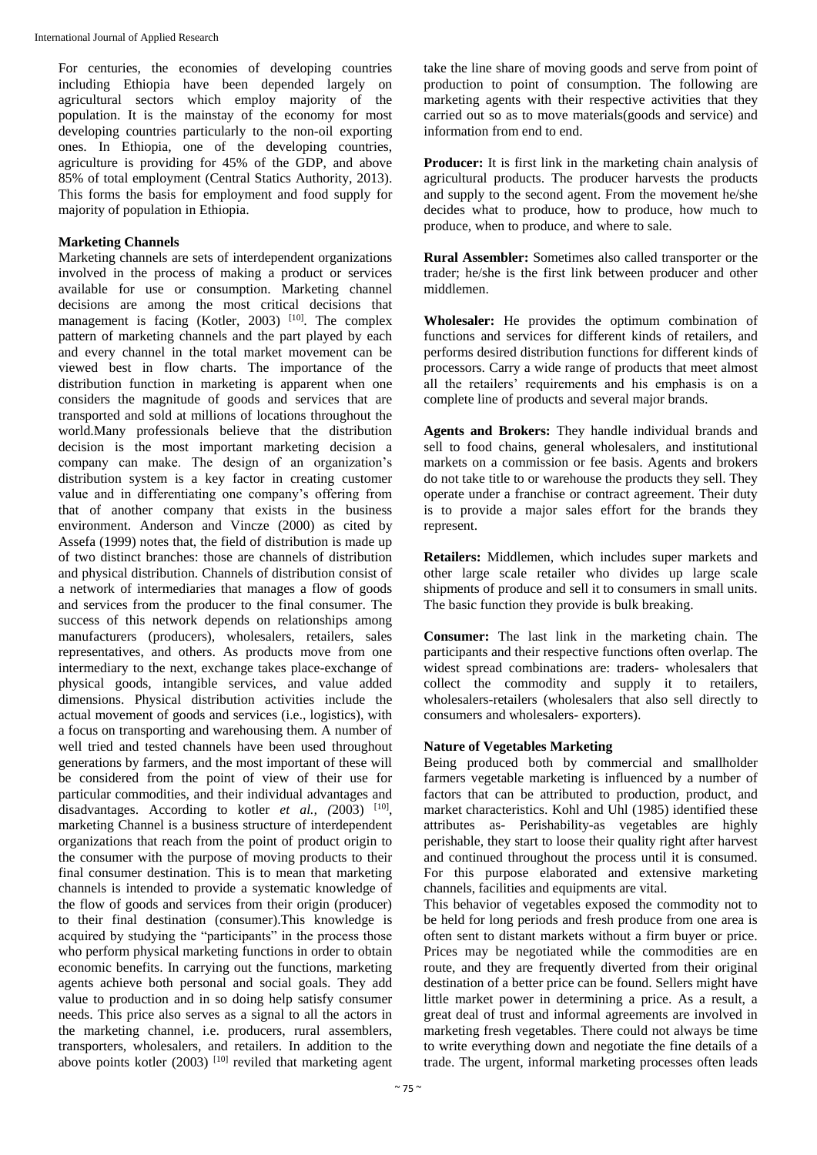For centuries, the economies of developing countries including Ethiopia have been depended largely on agricultural sectors which employ majority of the population. It is the mainstay of the economy for most developing countries particularly to the non-oil exporting ones. In Ethiopia, one of the developing countries, agriculture is providing for 45% of the GDP, and above 85% of total employment (Central Statics Authority, 2013). This forms the basis for employment and food supply for majority of population in Ethiopia.

### **Marketing Channels**

Marketing channels are sets of interdependent organizations involved in the process of making a product or services available for use or consumption. Marketing channel decisions are among the most critical decisions that management is facing (Kotler, 2003)  $[10]$ . The complex pattern of marketing channels and the part played by each and every channel in the total market movement can be viewed best in flow charts. The importance of the distribution function in marketing is apparent when one considers the magnitude of goods and services that are transported and sold at millions of locations throughout the world.Many professionals believe that the distribution decision is the most important marketing decision a company can make. The design of an organization's distribution system is a key factor in creating customer value and in differentiating one company's offering from that of another company that exists in the business environment. Anderson and Vincze (2000) as cited by Assefa (1999) notes that, the field of distribution is made up of two distinct branches: those are channels of distribution and physical distribution. Channels of distribution consist of a network of intermediaries that manages a flow of goods and services from the producer to the final consumer. The success of this network depends on relationships among manufacturers (producers), wholesalers, retailers, sales representatives, and others. As products move from one intermediary to the next, exchange takes place-exchange of physical goods, intangible services, and value added dimensions. Physical distribution activities include the actual movement of goods and services (i.e., logistics), with a focus on transporting and warehousing them. A number of well tried and tested channels have been used throughout generations by farmers, and the most important of these will be considered from the point of view of their use for particular commodities, and their individual advantages and disadvantages. According to kotler *et al.*, (2003) <sup>[10]</sup>, marketing Channel is a business structure of interdependent organizations that reach from the point of product origin to the consumer with the purpose of moving products to their final consumer destination. This is to mean that marketing channels is intended to provide a systematic knowledge of the flow of goods and services from their origin (producer) to their final destination (consumer).This knowledge is acquired by studying the "participants" in the process those who perform physical marketing functions in order to obtain economic benefits. In carrying out the functions, marketing agents achieve both personal and social goals. They add value to production and in so doing help satisfy consumer needs. This price also serves as a signal to all the actors in the marketing channel, i.e. producers, rural assemblers, transporters, wholesalers, and retailers. In addition to the above points kotler  $(2003)$  <sup>[10]</sup> reviled that marketing agent take the line share of moving goods and serve from point of production to point of consumption. The following are marketing agents with their respective activities that they carried out so as to move materials(goods and service) and information from end to end.

**Producer:** It is first link in the marketing chain analysis of agricultural products. The producer harvests the products and supply to the second agent. From the movement he/she decides what to produce, how to produce, how much to produce, when to produce, and where to sale.

**Rural Assembler:** Sometimes also called transporter or the trader; he/she is the first link between producer and other middlemen.

**Wholesaler:** He provides the optimum combination of functions and services for different kinds of retailers, and performs desired distribution functions for different kinds of processors. Carry a wide range of products that meet almost all the retailers' requirements and his emphasis is on a complete line of products and several major brands.

**Agents and Brokers:** They handle individual brands and sell to food chains, general wholesalers, and institutional markets on a commission or fee basis. Agents and brokers do not take title to or warehouse the products they sell. They operate under a franchise or contract agreement. Their duty is to provide a major sales effort for the brands they represent.

**Retailers:** Middlemen, which includes super markets and other large scale retailer who divides up large scale shipments of produce and sell it to consumers in small units. The basic function they provide is bulk breaking.

**Consumer:** The last link in the marketing chain. The participants and their respective functions often overlap. The widest spread combinations are: traders- wholesalers that collect the commodity and supply it to retailers, wholesalers-retailers (wholesalers that also sell directly to consumers and wholesalers- exporters).

# **Nature of Vegetables Marketing**

Being produced both by commercial and smallholder farmers vegetable marketing is influenced by a number of factors that can be attributed to production, product, and market characteristics. Kohl and Uhl (1985) identified these attributes as- Perishability-as vegetables are highly perishable, they start to loose their quality right after harvest and continued throughout the process until it is consumed. For this purpose elaborated and extensive marketing channels, facilities and equipments are vital.

This behavior of vegetables exposed the commodity not to be held for long periods and fresh produce from one area is often sent to distant markets without a firm buyer or price. Prices may be negotiated while the commodities are en route, and they are frequently diverted from their original destination of a better price can be found. Sellers might have little market power in determining a price. As a result, a great deal of trust and informal agreements are involved in marketing fresh vegetables. There could not always be time to write everything down and negotiate the fine details of a trade. The urgent, informal marketing processes often leads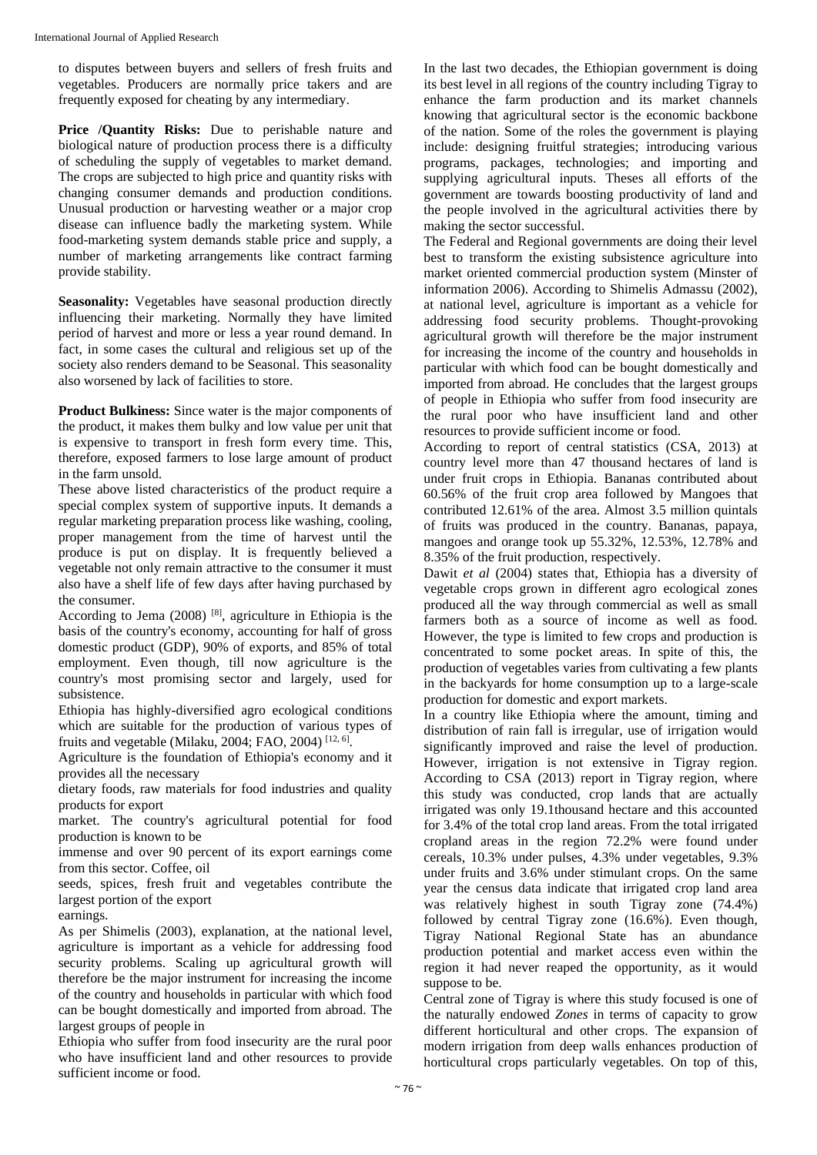to disputes between buyers and sellers of fresh fruits and vegetables. Producers are normally price takers and are frequently exposed for cheating by any intermediary.

**Price /Quantity Risks:** Due to perishable nature and biological nature of production process there is a difficulty of scheduling the supply of vegetables to market demand. The crops are subjected to high price and quantity risks with changing consumer demands and production conditions. Unusual production or harvesting weather or a major crop disease can influence badly the marketing system. While food-marketing system demands stable price and supply, a number of marketing arrangements like contract farming provide stability.

**Seasonality:** Vegetables have seasonal production directly influencing their marketing. Normally they have limited period of harvest and more or less a year round demand. In fact, in some cases the cultural and religious set up of the society also renders demand to be Seasonal. This seasonality also worsened by lack of facilities to store.

**Product Bulkiness:** Since water is the major components of the product, it makes them bulky and low value per unit that is expensive to transport in fresh form every time. This, therefore, exposed farmers to lose large amount of product in the farm unsold.

These above listed characteristics of the product require a special complex system of supportive inputs. It demands a regular marketing preparation process like washing, cooling, proper management from the time of harvest until the produce is put on display. It is frequently believed a vegetable not only remain attractive to the consumer it must also have a shelf life of few days after having purchased by the consumer.

According to Jema  $(2008)$ <sup>[8]</sup>, agriculture in Ethiopia is the basis of the country's economy, accounting for half of gross domestic product (GDP), 90% of exports, and 85% of total employment. Even though, till now agriculture is the country's most promising sector and largely, used for subsistence.

Ethiopia has highly-diversified agro ecological conditions which are suitable for the production of various types of fruits and vegetable (Milaku, 2004; FAO, 2004)  $^{[12, 6]}$ .

Agriculture is the foundation of Ethiopia's economy and it provides all the necessary

dietary foods, raw materials for food industries and quality products for export

market. The country's agricultural potential for food production is known to be

immense and over 90 percent of its export earnings come from this sector. Coffee, oil

seeds, spices, fresh fruit and vegetables contribute the largest portion of the export

earnings.

As per Shimelis (2003), explanation, at the national level, agriculture is important as a vehicle for addressing food security problems. Scaling up agricultural growth will therefore be the major instrument for increasing the income of the country and households in particular with which food can be bought domestically and imported from abroad. The largest groups of people in

Ethiopia who suffer from food insecurity are the rural poor who have insufficient land and other resources to provide sufficient income or food.

In the last two decades, the Ethiopian government is doing its best level in all regions of the country including Tigray to enhance the farm production and its market channels knowing that agricultural sector is the economic backbone of the nation. Some of the roles the government is playing include: designing fruitful strategies; introducing various programs, packages, technologies; and importing and supplying agricultural inputs. Theses all efforts of the government are towards boosting productivity of land and the people involved in the agricultural activities there by making the sector successful.

The Federal and Regional governments are doing their level best to transform the existing subsistence agriculture into market oriented commercial production system (Minster of information 2006). According to Shimelis Admassu (2002), at national level, agriculture is important as a vehicle for addressing food security problems. Thought-provoking agricultural growth will therefore be the major instrument for increasing the income of the country and households in particular with which food can be bought domestically and imported from abroad. He concludes that the largest groups of people in Ethiopia who suffer from food insecurity are the rural poor who have insufficient land and other resources to provide sufficient income or food.

According to report of central statistics (CSA, 2013) at country level more than 47 thousand hectares of land is under fruit crops in Ethiopia. Bananas contributed about 60.56% of the fruit crop area followed by Mangoes that contributed 12.61% of the area. Almost 3.5 million quintals of fruits was produced in the country. Bananas, papaya, mangoes and orange took up 55.32%, 12.53%, 12.78% and 8.35% of the fruit production, respectively.

Dawit *et al* (2004) states that, Ethiopia has a diversity of vegetable crops grown in different agro ecological zones produced all the way through commercial as well as small farmers both as a source of income as well as food. However, the type is limited to few crops and production is concentrated to some pocket areas. In spite of this, the production of vegetables varies from cultivating a few plants in the backyards for home consumption up to a large-scale production for domestic and export markets.

In a country like Ethiopia where the amount, timing and distribution of rain fall is irregular, use of irrigation would significantly improved and raise the level of production. However, irrigation is not extensive in Tigray region. According to CSA (2013) report in Tigray region, where this study was conducted, crop lands that are actually irrigated was only 19.1thousand hectare and this accounted for 3.4% of the total crop land areas. From the total irrigated cropland areas in the region 72.2% were found under cereals, 10.3% under pulses, 4.3% under vegetables, 9.3% under fruits and 3.6% under stimulant crops. On the same year the census data indicate that irrigated crop land area was relatively highest in south Tigray zone (74.4%) followed by central Tigray zone (16.6%). Even though, Tigray National Regional State has an abundance production potential and market access even within the region it had never reaped the opportunity, as it would suppose to be.

Central zone of Tigray is where this study focused is one of the naturally endowed *Zones* in terms of capacity to grow different horticultural and other crops. The expansion of modern irrigation from deep walls enhances production of horticultural crops particularly vegetables. On top of this,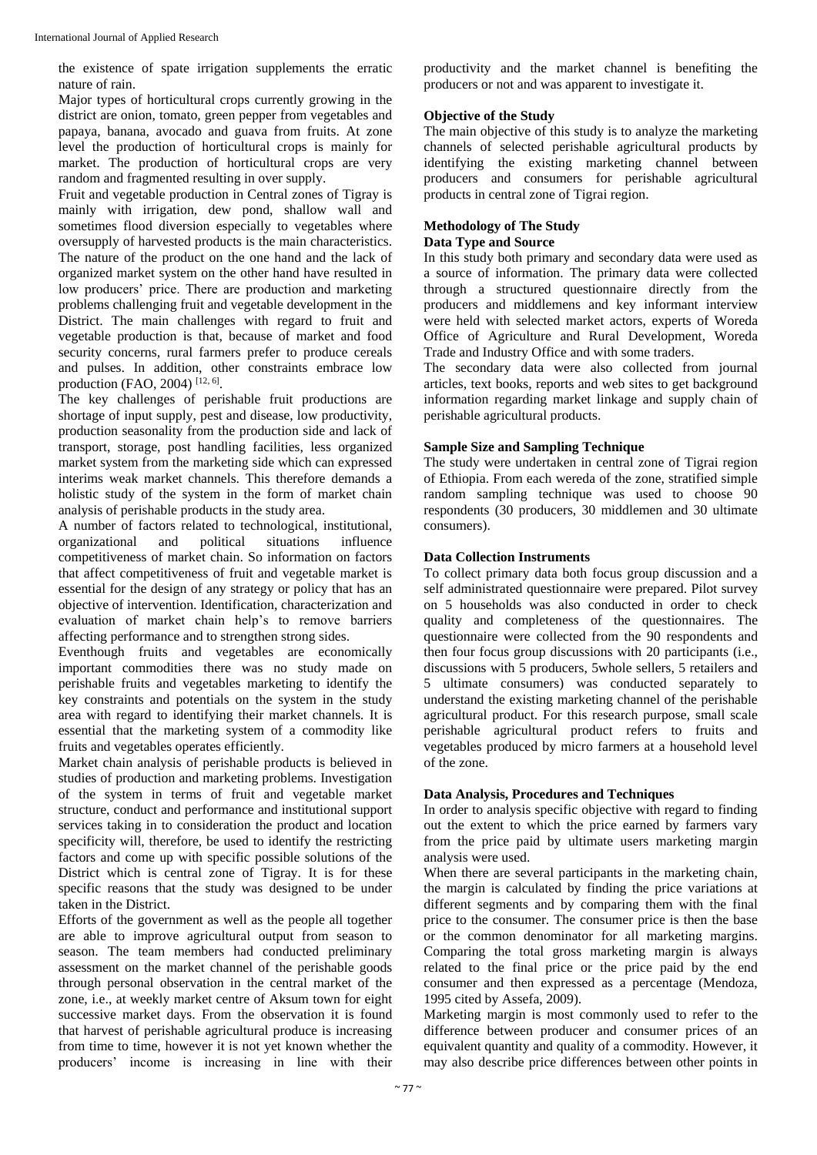the existence of spate irrigation supplements the erratic nature of rain.

Major types of horticultural crops currently growing in the district are onion, tomato, green pepper from vegetables and papaya, banana, avocado and guava from fruits. At zone level the production of horticultural crops is mainly for market. The production of horticultural crops are very random and fragmented resulting in over supply.

Fruit and vegetable production in Central zones of Tigray is mainly with irrigation, dew pond, shallow wall and sometimes flood diversion especially to vegetables where oversupply of harvested products is the main characteristics. The nature of the product on the one hand and the lack of organized market system on the other hand have resulted in low producers' price. There are production and marketing problems challenging fruit and vegetable development in the District. The main challenges with regard to fruit and vegetable production is that, because of market and food security concerns, rural farmers prefer to produce cereals and pulses. In addition, other constraints embrace low production (FAO, 2004)<sup>[12, 6]</sup>.

The key challenges of perishable fruit productions are shortage of input supply, pest and disease, low productivity, production seasonality from the production side and lack of transport, storage, post handling facilities, less organized market system from the marketing side which can expressed interims weak market channels. This therefore demands a holistic study of the system in the form of market chain analysis of perishable products in the study area.

A number of factors related to technological, institutional, organizational and political situations influence competitiveness of market chain. So information on factors that affect competitiveness of fruit and vegetable market is essential for the design of any strategy or policy that has an objective of intervention. Identification, characterization and evaluation of market chain help's to remove barriers affecting performance and to strengthen strong sides.

Eventhough fruits and vegetables are economically important commodities there was no study made on perishable fruits and vegetables marketing to identify the key constraints and potentials on the system in the study area with regard to identifying their market channels*.* It is essential that the marketing system of a commodity like fruits and vegetables operates efficiently.

Market chain analysis of perishable products is believed in studies of production and marketing problems. Investigation of the system in terms of fruit and vegetable market structure, conduct and performance and institutional support services taking in to consideration the product and location specificity will, therefore, be used to identify the restricting factors and come up with specific possible solutions of the District which is central zone of Tigray. It is for these specific reasons that the study was designed to be under taken in the District.

Efforts of the government as well as the people all together are able to improve agricultural output from season to season. The team members had conducted preliminary assessment on the market channel of the perishable goods through personal observation in the central market of the zone, i.e., at weekly market centre of Aksum town for eight successive market days. From the observation it is found that harvest of perishable agricultural produce is increasing from time to time, however it is not yet known whether the producers' income is increasing in line with their

productivity and the market channel is benefiting the producers or not and was apparent to investigate it.

### **Objective of the Study**

The main objective of this study is to analyze the marketing channels of selected perishable agricultural products by identifying the existing marketing channel between producers and consumers for perishable agricultural products in central zone of Tigrai region.

# **Methodology of The Study**

### **Data Type and Source**

In this study both primary and secondary data were used as a source of information. The primary data were collected through a structured questionnaire directly from the producers and middlemens and key informant interview were held with selected market actors, experts of Woreda Office of Agriculture and Rural Development, Woreda Trade and Industry Office and with some traders.

The secondary data were also collected from journal articles, text books, reports and web sites to get background information regarding market linkage and supply chain of perishable agricultural products.

### **Sample Size and Sampling Technique**

The study were undertaken in central zone of Tigrai region of Ethiopia. From each wereda of the zone, stratified simple random sampling technique was used to choose 90 respondents (30 producers, 30 middlemen and 30 ultimate consumers).

### **Data Collection Instruments**

To collect primary data both focus group discussion and a self administrated questionnaire were prepared. Pilot survey on 5 households was also conducted in order to check quality and completeness of the questionnaires. The questionnaire were collected from the 90 respondents and then four focus group discussions with 20 participants (i.e., discussions with 5 producers, 5whole sellers, 5 retailers and 5 ultimate consumers) was conducted separately to understand the existing marketing channel of the perishable agricultural product. For this research purpose, small scale perishable agricultural product refers to fruits and vegetables produced by micro farmers at a household level of the zone.

### **Data Analysis, Procedures and Techniques**

In order to analysis specific objective with regard to finding out the extent to which the price earned by farmers vary from the price paid by ultimate users marketing margin analysis were used.

When there are several participants in the marketing chain, the margin is calculated by finding the price variations at different segments and by comparing them with the final price to the consumer. The consumer price is then the base or the common denominator for all marketing margins. Comparing the total gross marketing margin is always related to the final price or the price paid by the end consumer and then expressed as a percentage (Mendoza, 1995 cited by Assefa, 2009).

Marketing margin is most commonly used to refer to the difference between producer and consumer prices of an equivalent quantity and quality of a commodity. However, it may also describe price differences between other points in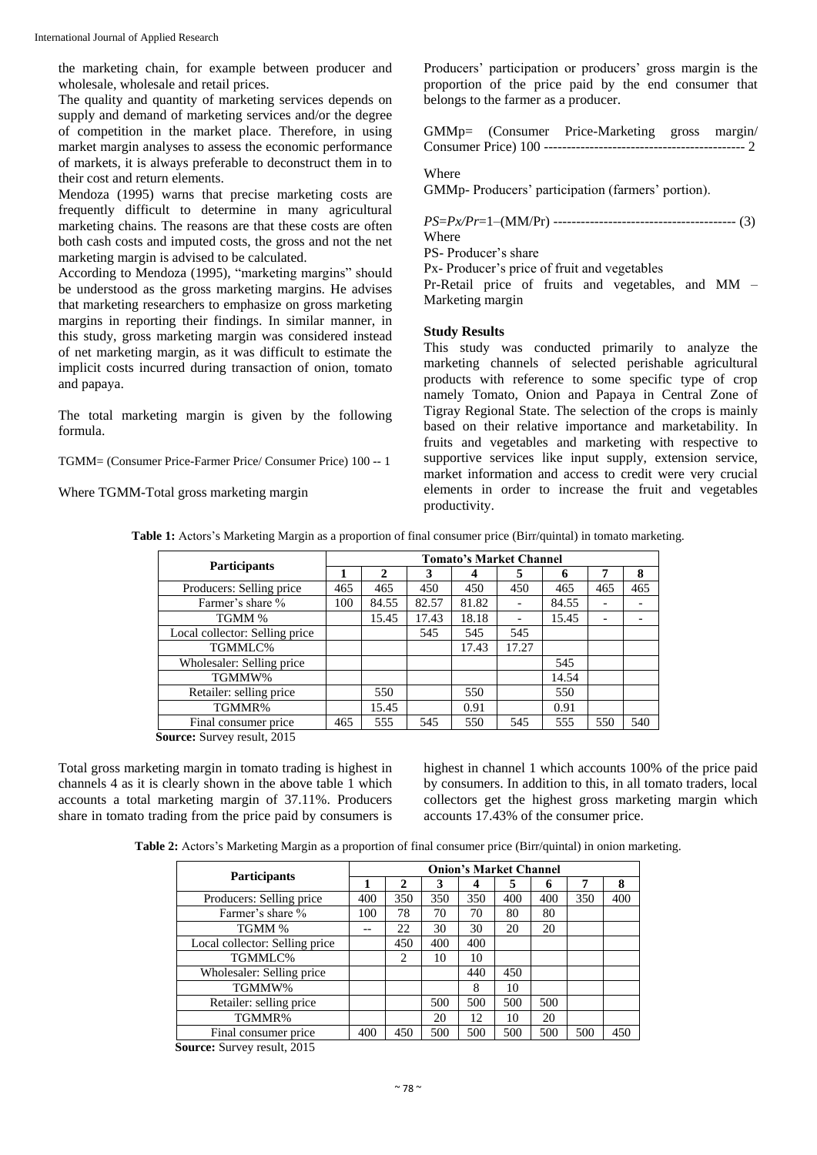International Journal of Applied Research

the marketing chain, for example between producer and wholesale, wholesale and retail prices.

The quality and quantity of marketing services depends on supply and demand of marketing services and/or the degree of competition in the market place. Therefore, in using market margin analyses to assess the economic performance of markets, it is always preferable to deconstruct them in to their cost and return elements.

Mendoza (1995) warns that precise marketing costs are frequently difficult to determine in many agricultural marketing chains. The reasons are that these costs are often both cash costs and imputed costs, the gross and not the net marketing margin is advised to be calculated.

According to Mendoza (1995), "marketing margins" should be understood as the gross marketing margins. He advises that marketing researchers to emphasize on gross marketing margins in reporting their findings. In similar manner, in this study, gross marketing margin was considered instead of net marketing margin, as it was difficult to estimate the implicit costs incurred during transaction of onion, tomato and papaya.

The total marketing margin is given by the following formula.

TGMM= (Consumer Price-Farmer Price/ Consumer Price) 100 -- 1

Where TGMM-Total gross marketing margin

Producers' participation or producers' gross margin is the proportion of the price paid by the end consumer that belongs to the farmer as a producer.

|  | GMMp= (Consumer Price-Marketing gross margin/ |  |
|--|-----------------------------------------------|--|
|  |                                               |  |

### Where

GMMp- Producers' participation (farmers' portion).

*PS*=*Px/Pr*=1–(MM/Pr) ---------------------------------------- (3) **Where** 

PS- Producer's share

Px- Producer's price of fruit and vegetables

Pr-Retail price of fruits and vegetables, and MM – Marketing margin

### **Study Results**

This study was conducted primarily to analyze the marketing channels of selected perishable agricultural products with reference to some specific type of crop namely Tomato, Onion and Papaya in Central Zone of Tigray Regional State. The selection of the crops is mainly based on their relative importance and marketability. In fruits and vegetables and marketing with respective to supportive services like input supply, extension service, market information and access to credit were very crucial elements in order to increase the fruit and vegetables productivity.

**Table 1:** Actors's Marketing Margin as a proportion of final consumer price (Birr/quintal) in tomato marketing.

|                                           | <b>Tomato's Market Channel</b> |       |       |       |       |       |     |     |  |
|-------------------------------------------|--------------------------------|-------|-------|-------|-------|-------|-----|-----|--|
| <b>Participants</b>                       |                                | 2     | 3     | 4     | 5     | 6     | 7   | 8   |  |
| Producers: Selling price                  | 465                            | 465   | 450   | 450   | 450   | 465   | 465 | 465 |  |
| Farmer's share %                          | 100                            | 84.55 | 82.57 | 81.82 |       | 84.55 |     |     |  |
| TGMM %                                    |                                | 15.45 | 17.43 | 18.18 |       | 15.45 |     |     |  |
| Local collector: Selling price            |                                |       | 545   | 545   | 545   |       |     |     |  |
| TGMMLC%                                   |                                |       |       | 17.43 | 17.27 |       |     |     |  |
| Wholesaler: Selling price                 |                                |       |       |       |       | 545   |     |     |  |
| TGMMW%                                    |                                |       |       |       |       | 14.54 |     |     |  |
| Retailer: selling price                   |                                | 550   |       | 550   |       | 550   |     |     |  |
| TGMMR%                                    |                                | 15.45 |       | 0.91  |       | 0.91  |     |     |  |
| Final consumer price<br>$\alpha$ $\alpha$ | 465                            | 555   | 545   | 550   | 545   | 555   | 550 | 540 |  |

**Source:** Survey result, 2015

Total gross marketing margin in tomato trading is highest in channels 4 as it is clearly shown in the above table 1 which accounts a total marketing margin of 37.11%. Producers share in tomato trading from the price paid by consumers is highest in channel 1 which accounts 100% of the price paid by consumers. In addition to this, in all tomato traders, local collectors get the highest gross marketing margin which accounts 17.43% of the consumer price.

**Table 2:** Actors's Marketing Margin as a proportion of final consumer price (Birr/quintal) in onion marketing.

|                                | <b>Onion's Market Channel</b> |              |     |     |     |     |     |     |  |
|--------------------------------|-------------------------------|--------------|-----|-----|-----|-----|-----|-----|--|
| <b>Participants</b>            |                               | $\mathbf{2}$ | 3   | 4   | 5   | 6   |     | 8   |  |
| Producers: Selling price       | 400                           | 350          | 350 | 350 | 400 | 400 | 350 | 400 |  |
| Farmer's share %               | 100                           | 78           | 70  | 70  | 80  | 80  |     |     |  |
| TGMM %                         |                               | 22           | 30  | 30  | 20  | 20  |     |     |  |
| Local collector: Selling price |                               | 450          | 400 | 400 |     |     |     |     |  |
| TGMMLC%                        |                               | 2            | 10  | 10  |     |     |     |     |  |
| Wholesaler: Selling price      |                               |              |     | 440 | 450 |     |     |     |  |
| TGMMW%                         |                               |              |     | 8   | 10  |     |     |     |  |
| Retailer: selling price        |                               |              | 500 | 500 | 500 | 500 |     |     |  |
| TGMMR%                         |                               |              | 20  | 12  | 10  | 20  |     |     |  |
| Final consumer price           | 400                           | 450          | 500 | 500 | 500 | 500 | 500 | 450 |  |

**Source:** Survey result, 2015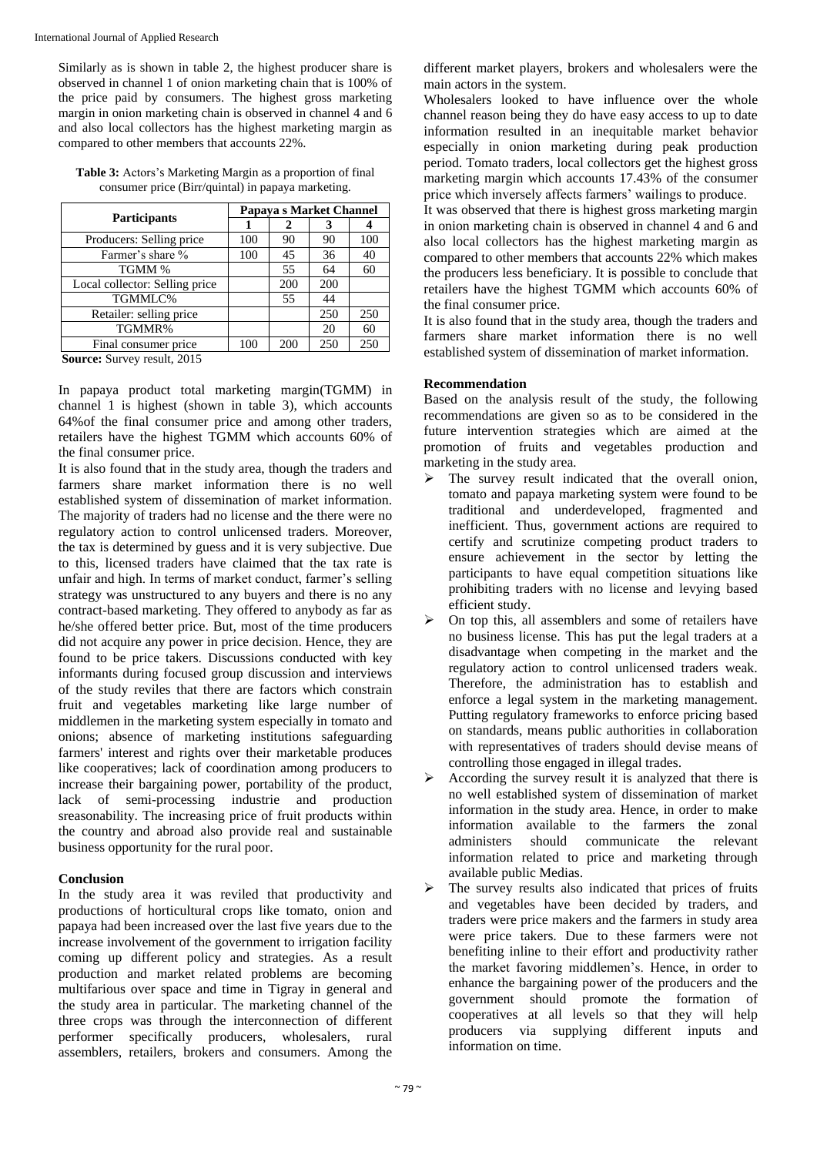Similarly as is shown in table 2, the highest producer share is observed in channel 1 of onion marketing chain that is 100% of the price paid by consumers. The highest gross marketing margin in onion marketing chain is observed in channel 4 and 6 and also local collectors has the highest marketing margin as compared to other members that accounts 22%.

**Table 3:** Actors's Marketing Margin as a proportion of final consumer price (Birr/quintal) in papaya marketing.

| <b>Participants</b>                 | Papaya s Market Channel |     |     |     |  |  |
|-------------------------------------|-------------------------|-----|-----|-----|--|--|
|                                     |                         | 2   | 3   |     |  |  |
| Producers: Selling price            | 100                     | 90  | 90  | 100 |  |  |
| Farmer's share %                    | 100                     | 45  | 36  | 40  |  |  |
| TGMM %                              |                         | 55  | 64  | 60  |  |  |
| Local collector: Selling price      |                         | 200 | 200 |     |  |  |
| TGMMLC%                             |                         | 55  | 44  |     |  |  |
| Retailer: selling price             |                         |     | 250 | 250 |  |  |
| TGMMR%                              |                         |     | 20  | 60  |  |  |
| Final consumer price                | 100                     | 200 | 250 | 250 |  |  |
| $\alpha$ $\alpha$ $\alpha$ $\alpha$ |                         |     |     |     |  |  |

**Source:** Survey result, 2015

In papaya product total marketing margin(TGMM) in channel 1 is highest (shown in table 3), which accounts 64%of the final consumer price and among other traders, retailers have the highest TGMM which accounts 60% of the final consumer price.

It is also found that in the study area, though the traders and farmers share market information there is no well established system of dissemination of market information. The majority of traders had no license and the there were no regulatory action to control unlicensed traders. Moreover, the tax is determined by guess and it is very subjective. Due to this, licensed traders have claimed that the tax rate is unfair and high. In terms of market conduct, farmer's selling strategy was unstructured to any buyers and there is no any contract-based marketing. They offered to anybody as far as he/she offered better price. But, most of the time producers did not acquire any power in price decision. Hence, they are found to be price takers. Discussions conducted with key informants during focused group discussion and interviews of the study reviles that there are factors which constrain fruit and vegetables marketing like large number of middlemen in the marketing system especially in tomato and onions; absence of marketing institutions safeguarding farmers' interest and rights over their marketable produces like cooperatives; lack of coordination among producers to increase their bargaining power, portability of the product, lack of semi-processing industrie and production sreasonability. The increasing price of fruit products within the country and abroad also provide real and sustainable business opportunity for the rural poor.

### **Conclusion**

In the study area it was reviled that productivity and productions of horticultural crops like tomato, onion and papaya had been increased over the last five years due to the increase involvement of the government to irrigation facility coming up different policy and strategies. As a result production and market related problems are becoming multifarious over space and time in Tigray in general and the study area in particular. The marketing channel of the three crops was through the interconnection of different performer specifically producers, wholesalers, rural assemblers, retailers, brokers and consumers. Among the

different market players, brokers and wholesalers were the main actors in the system.

Wholesalers looked to have influence over the whole channel reason being they do have easy access to up to date information resulted in an inequitable market behavior especially in onion marketing during peak production period. Tomato traders, local collectors get the highest gross marketing margin which accounts 17.43% of the consumer price which inversely affects farmers' wailings to produce.

It was observed that there is highest gross marketing margin in onion marketing chain is observed in channel 4 and 6 and also local collectors has the highest marketing margin as compared to other members that accounts 22% which makes the producers less beneficiary. It is possible to conclude that retailers have the highest TGMM which accounts 60% of the final consumer price.

It is also found that in the study area, though the traders and farmers share market information there is no well established system of dissemination of market information.

### **Recommendation**

Based on the analysis result of the study, the following recommendations are given so as to be considered in the future intervention strategies which are aimed at the promotion of fruits and vegetables production and marketing in the study area*.*

- $\triangleright$  The survey result indicated that the overall onion, tomato and papaya marketing system were found to be traditional and underdeveloped, fragmented and inefficient. Thus, government actions are required to certify and scrutinize competing product traders to ensure achievement in the sector by letting the participants to have equal competition situations like prohibiting traders with no license and levying based efficient study.
- $\triangleright$  On top this, all assemblers and some of retailers have no business license. This has put the legal traders at a disadvantage when competing in the market and the regulatory action to control unlicensed traders weak. Therefore, the administration has to establish and enforce a legal system in the marketing management. Putting regulatory frameworks to enforce pricing based on standards, means public authorities in collaboration with representatives of traders should devise means of controlling those engaged in illegal trades.
- According the survey result it is analyzed that there is no well established system of dissemination of market information in the study area. Hence, in order to make information available to the farmers the zonal<br>administers should communicate the relevant administers should communicate the relevant information related to price and marketing through available public Medias.
- $\triangleright$  The survey results also indicated that prices of fruits and vegetables have been decided by traders, and traders were price makers and the farmers in study area were price takers. Due to these farmers were not benefiting inline to their effort and productivity rather the market favoring middlemen's. Hence, in order to enhance the bargaining power of the producers and the government should promote the formation of cooperatives at all levels so that they will help producers via supplying different inputs and information on time.